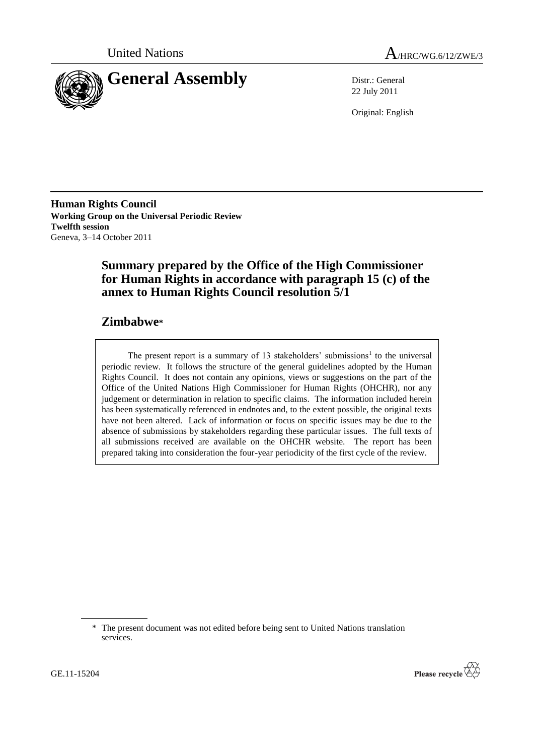



22 July 2011

Original: English

**Human Rights Council Working Group on the Universal Periodic Review Twelfth session** Geneva, 3–14 October 2011

# **Summary prepared by the Office of the High Commissioner for Human Rights in accordance with paragraph 15 (c) of the annex to Human Rights Council resolution 5/1**

# **Zimbabwe\***

The present report is a summary of  $13$  stakeholders' submissions<sup>1</sup> to the universal periodic review. It follows the structure of the general guidelines adopted by the Human Rights Council. It does not contain any opinions, views or suggestions on the part of the Office of the United Nations High Commissioner for Human Rights (OHCHR), nor any judgement or determination in relation to specific claims. The information included herein has been systematically referenced in endnotes and, to the extent possible, the original texts have not been altered. Lack of information or focus on specific issues may be due to the absence of submissions by stakeholders regarding these particular issues. The full texts of all submissions received are available on the OHCHR website. The report has been prepared taking into consideration the four-year periodicity of the first cycle of the review.



<sup>\*</sup> The present document was not edited before being sent to United Nations translation services.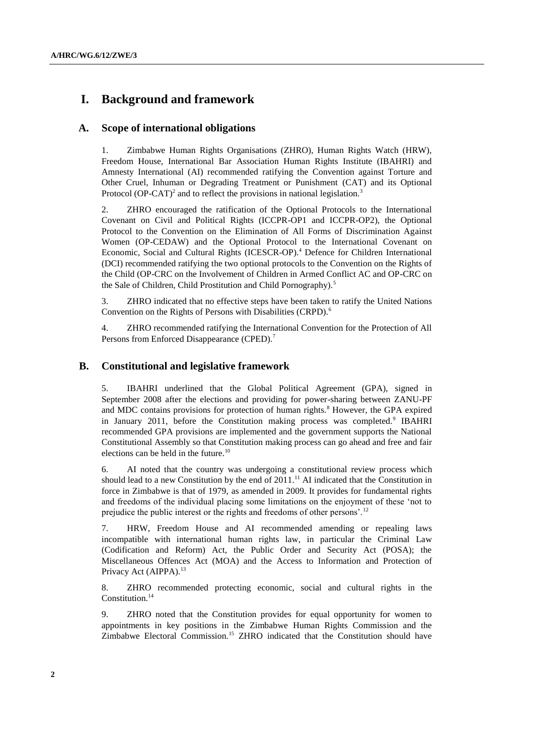# **I. Background and framework**

## **A. Scope of international obligations**

1. Zimbabwe Human Rights Organisations (ZHRO), Human Rights Watch (HRW), Freedom House, International Bar Association Human Rights Institute (IBAHRI) and Amnesty International (AI) recommended ratifying the [Convention against Torture and](http://www2.ohchr.org/english/law/cat.htm)  [Other Cruel, Inhuman or Degrading Treatment or Punishment](http://www2.ohchr.org/english/law/cat.htm) (CAT) and its Optional Protocol (OP-CAT)<sup>2</sup> and to reflect the provisions in national legislation.<sup>3</sup>

2. ZHRO encouraged the ratification of the Optional Protocols to the International Covenant on Civil and Political Rights (ICCPR-OP1 and ICCPR-OP2), the Optional Protocol to the Convention on the Elimination of All Forms of Discrimination Against Women (OP-CEDAW) and the Optional Protocol to the [International Covenant on](http://www2.ohchr.org/english/law/cescr.htm)  [Economic, Social and Cultural Rights](http://www2.ohchr.org/english/law/cescr.htm) (ICESCR-OP).<sup>4</sup> Defence for Children International (DCI) recommended ratifying the two optional protocols to the Convention on the Rights of the Child (OP-CRC on the Involvement of Children in Armed Conflict AC and OP-CRC on the Sale of Children, Child Prostitution and Child Pornography).<sup>5</sup>

3. ZHRO indicated that no effective steps have been taken to ratify the United Nations Convention on the Rights of Persons with Disabilities (CRPD).<sup>6</sup>

4. ZHRO recommended ratifying the International Convention for the Protection of All Persons from Enforced Disappearance (CPED).<sup>7</sup>

## **B. Constitutional and legislative framework**

5. IBAHRI underlined that the Global Political Agreement (GPA), signed in September 2008 after the elections and providing for power-sharing between ZANU-PF and MDC contains provisions for protection of human rights.<sup>8</sup> However, the GPA expired in January 2011, before the Constitution making process was completed.<sup>9</sup> IBAHRI recommended GPA provisions are implemented and the government supports the National Constitutional Assembly so that Constitution making process can go ahead and free and fair elections can be held in the future.<sup>10</sup>

6. AI noted that the country was undergoing a constitutional review process which should lead to a new Constitution by the end of  $2011$ .<sup>11</sup> AI indicated that the Constitution in force in Zimbabwe is that of 1979, as amended in 2009. It provides for fundamental rights and freedoms of the individual placing some limitations on the enjoyment of these "not to prejudice the public interest or the rights and freedoms of other persons'.<sup>12</sup>

7. HRW, Freedom House and AI recommended amending or repealing laws incompatible with international human rights law, in particular the Criminal Law (Codification and Reform) Act, the Public Order and Security Act (POSA); the Miscellaneous Offences Act (MOA) and the Access to Information and Protection of Privacy Act (AIPPA).<sup>13</sup>

8. ZHRO recommended protecting economic, social and cultural rights in the Constitution.<sup>14</sup>

9. ZHRO noted that the Constitution provides for equal opportunity for women to appointments in key positions in the Zimbabwe Human Rights Commission and the Zimbabwe Electoral Commission.<sup>15</sup> ZHRO indicated that the Constitution should have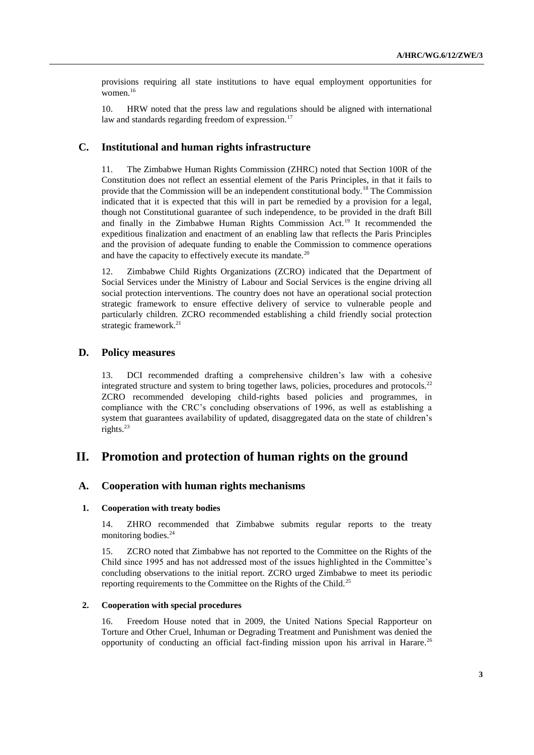provisions requiring all state institutions to have equal employment opportunities for women.<sup>16</sup>

10. HRW noted that the press law and regulations should be aligned with international law and standards regarding freedom of expression.<sup>17</sup>

## **C. Institutional and human rights infrastructure**

11. The Zimbabwe Human Rights Commission (ZHRC) noted that Section 100R of the Constitution does not reflect an essential element of the Paris Principles, in that it fails to provide that the Commission will be an independent constitutional body.<sup>18</sup> The Commission indicated that it is expected that this will in part be remedied by a provision for a legal, though not Constitutional guarantee of such independence, to be provided in the draft Bill and finally in the Zimbabwe Human Rights Commission Act.<sup>19</sup> It recommended the expeditious finalization and enactment of an enabling law that reflects the Paris Principles and the provision of adequate funding to enable the Commission to commence operations and have the capacity to effectively execute its mandate.<sup>20</sup>

12. Zimbabwe Child Rights Organizations (ZCRO) indicated that the Department of Social Services under the Ministry of Labour and Social Services is the engine driving all social protection interventions. The country does not have an operational social protection strategic framework to ensure effective delivery of service to vulnerable people and particularly children. ZCRO recommended establishing a child friendly social protection strategic framework.<sup>21</sup>

## **D. Policy measures**

13. DCI recommended drafting a comprehensive children"s law with a cohesive integrated structure and system to bring together laws, policies, procedures and protocols.<sup>22</sup> ZCRO recommended developing child-rights based policies and programmes, in compliance with the CRC"s concluding observations of 1996, as well as establishing a system that guarantees availability of updated, disaggregated data on the state of children"s rights.<sup>23</sup>

## **II. Promotion and protection of human rights on the ground**

## **A. Cooperation with human rights mechanisms**

#### **1. Cooperation with treaty bodies**

14. ZHRO recommended that Zimbabwe submits regular reports to the treaty monitoring bodies.<sup>24</sup>

15. ZCRO noted that Zimbabwe has not reported to the Committee on the Rights of the Child since 1995 and has not addressed most of the issues highlighted in the Committee"s concluding observations to the initial report. ZCRO urged Zimbabwe to meet its periodic reporting requirements to the Committee on the Rights of the Child.<sup>25</sup>

#### **2. Cooperation with special procedures**

16. Freedom House noted that in 2009, the United Nations Special Rapporteur on Torture and Other Cruel, Inhuman or Degrading Treatment and Punishment was denied the opportunity of conducting an official fact-finding mission upon his arrival in Harare.<sup>26</sup>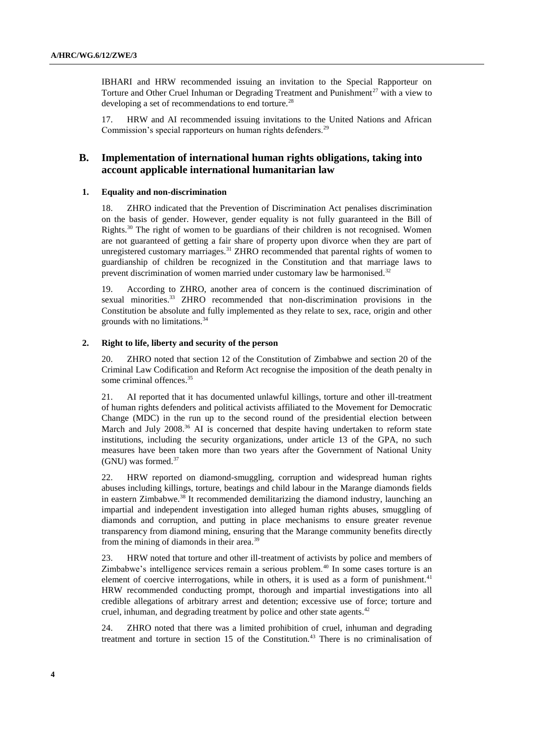IBHARI and HRW recommended issuing an invitation to the Special Rapporteur on Torture and Other Cruel Inhuman or Degrading Treatment and Punishment<sup>27</sup> with a view to developing a set of recommendations to end torture.<sup>28</sup>

17. HRW and AI recommended issuing invitations to the United Nations and African Commission's special rapporteurs on human rights defenders.<sup>29</sup>

## **B. Implementation of international human rights obligations, taking into account applicable international humanitarian law**

#### **1. Equality and non-discrimination**

18. ZHRO indicated that the Prevention of Discrimination Act penalises discrimination on the basis of gender. However, gender equality is not fully guaranteed in the Bill of Rights.<sup>30</sup> The right of women to be guardians of their children is not recognised. Women are not guaranteed of getting a fair share of property upon divorce when they are part of unregistered customary marriages.<sup>31</sup> ZHRO recommended that parental rights of women to guardianship of children be recognized in the Constitution and that marriage laws to prevent discrimination of women married under customary law be harmonised.<sup>32</sup>

19. According to ZHRO, another area of concern is the continued discrimination of sexual minorities.<sup>33</sup> ZHRO recommended that non-discrimination provisions in the Constitution be absolute and fully implemented as they relate to sex, race, origin and other grounds with no limitations.<sup>34</sup>

### **2. Right to life, liberty and security of the person**

20. ZHRO noted that section 12 of the Constitution of Zimbabwe and section 20 of the Criminal Law Codification and Reform Act recognise the imposition of the death penalty in some criminal offences.<sup>35</sup>

21. AI reported that it has documented unlawful killings, torture and other ill-treatment of human rights defenders and political activists affiliated to the Movement for Democratic Change (MDC) in the run up to the second round of the presidential election between March and July 2008.<sup>36</sup> AI is concerned that despite having undertaken to reform state institutions, including the security organizations, under article 13 of the GPA, no such measures have been taken more than two years after the Government of National Unity (GNU) was formed. $37$ 

22. HRW reported on diamond-smuggling, corruption and widespread human rights abuses including killings, torture, beatings and child labour in the Marange diamonds fields in eastern Zimbabwe.<sup>38</sup> It recommended demilitarizing the diamond industry, launching an impartial and independent investigation into alleged human rights abuses, smuggling of diamonds and corruption, and putting in place mechanisms to ensure greater revenue transparency from diamond mining, ensuring that the Marange community benefits directly from the mining of diamonds in their area.<sup>39</sup>

23. HRW noted that torture and other ill-treatment of activists by police and members of Zimbabwe's intelligence services remain a serious problem.<sup>40</sup> In some cases torture is an element of coercive interrogations, while in others, it is used as a form of punishment.<sup>41</sup> HRW recommended conducting prompt, thorough and impartial investigations into all credible allegations of arbitrary arrest and detention; excessive use of force; torture and cruel, inhuman, and degrading treatment by police and other state agents.<sup>42</sup>

24. ZHRO noted that there was a limited prohibition of cruel, inhuman and degrading treatment and torture in section 15 of the Constitution.<sup>43</sup> There is no criminalisation of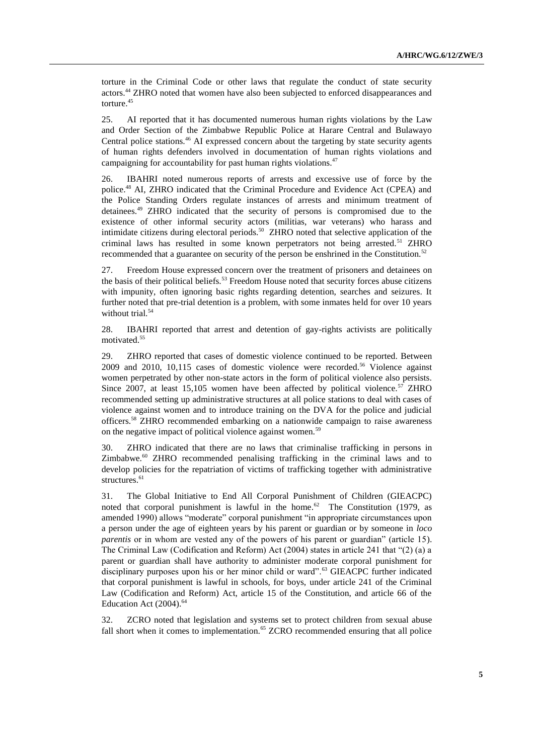torture in the Criminal Code or other laws that regulate the conduct of state security actors.<sup>44</sup> ZHRO noted that women have also been subjected to enforced disappearances and torture. 45

25. AI reported that it has documented numerous human rights violations by the Law and Order Section of the Zimbabwe Republic Police at Harare Central and Bulawayo Central police stations.<sup>46</sup> AI expressed concern about the targeting by state security agents of human rights defenders involved in documentation of human rights violations and campaigning for accountability for past human rights violations. $47$ 

26. IBAHRI noted numerous reports of arrests and excessive use of force by the police. <sup>48</sup> AI, ZHRO indicated that the Criminal Procedure and Evidence Act (CPEA) and the Police Standing Orders regulate instances of arrests and minimum treatment of detainees.<sup>49</sup> ZHRO indicated that the security of persons is compromised due to the existence of other informal security actors (militias, war veterans) who harass and intimidate citizens during electoral periods.<sup>50</sup> ZHRO noted that selective application of the criminal laws has resulted in some known perpetrators not being arrested.<sup>51</sup> ZHRO recommended that a guarantee on security of the person be enshrined in the Constitution.<sup>52</sup>

27. Freedom House expressed concern over the treatment of prisoners and detainees on the basis of their political beliefs.<sup>53</sup> Freedom House noted that security forces abuse citizens with impunity, often ignoring basic rights regarding detention, searches and seizures. It further noted that pre-trial detention is a problem, with some inmates held for over 10 years without trial.<sup>54</sup>

28. IBAHRI reported that arrest and detention of gay-rights activists are politically motivated.<sup>55</sup>

29. ZHRO reported that cases of domestic violence continued to be reported. Between 2009 and 2010, 10,115 cases of domestic violence were recorded.<sup>56</sup> Violence against women perpetrated by other non-state actors in the form of political violence also persists. Since 2007, at least 15,105 women have been affected by political violence.<sup>57</sup> ZHRO recommended setting up administrative structures at all police stations to deal with cases of violence against women and to introduce training on the DVA for the police and judicial officers.<sup>58</sup> ZHRO recommended embarking on a nationwide campaign to raise awareness on the negative impact of political violence against women.<sup>59</sup>

30. ZHRO indicated that there are no laws that criminalise trafficking in persons in Zimbabwe.<sup>60</sup> ZHRO recommended penalising trafficking in the criminal laws and to develop policies for the repatriation of victims of trafficking together with administrative structures.<sup>61</sup>

31. The Global Initiative to End All Corporal Punishment of Children (GIEACPC) noted that corporal punishment is lawful in the home. $62$  The Constitution (1979, as amended 1990) allows "moderate" corporal punishment "in appropriate circumstances upon a person under the age of eighteen years by his parent or guardian or by someone in *loco parentis* or in whom are vested any of the powers of his parent or guardian" (article 15). The Criminal Law (Codification and Reform) Act (2004) states in article 241 that "(2) (a) a parent or guardian shall have authority to administer moderate corporal punishment for disciplinary purposes upon his or her minor child or ward".<sup>63</sup> GIEACPC further indicated that corporal punishment is lawful in schools, for boys, under article 241 of the Criminal Law (Codification and Reform) Act, article 15 of the Constitution, and article 66 of the Education Act (2004).<sup>64</sup>

32. ZCRO noted that legislation and systems set to protect children from sexual abuse fall short when it comes to implementation.<sup>65</sup> ZCRO recommended ensuring that all police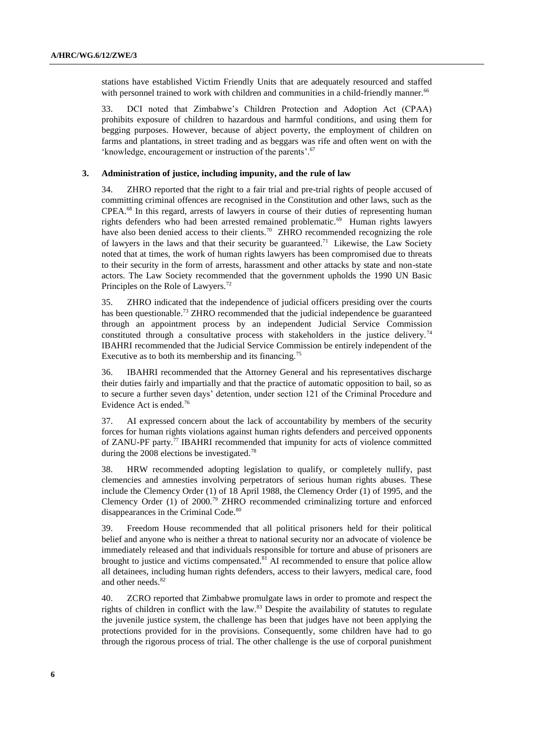stations have established Victim Friendly Units that are adequately resourced and staffed with personnel trained to work with children and communities in a child-friendly manner.<sup>66</sup>

33. DCI noted that Zimbabwe"s Children Protection and Adoption Act (CPAA) prohibits exposure of children to hazardous and harmful conditions, and using them for begging purposes. However, because of abject poverty, the employment of children on farms and plantations, in street trading and as beggars was rife and often went on with the 'knowledge, encouragement or instruction of the parents'.<sup>67</sup>

#### **3. Administration of justice, including impunity, and the rule of law**

34. ZHRO reported that the right to a fair trial and pre-trial rights of people accused of committing criminal offences are recognised in the Constitution and other laws, such as the CPEA.<sup>68</sup> In this regard, arrests of lawyers in course of their duties of representing human rights defenders who had been arrested remained problematic.<sup>69</sup> Human rights lawyers have also been denied access to their clients.<sup>70</sup> ZHRO recommended recognizing the role of lawyers in the laws and that their security be guaranteed.<sup>71</sup> Likewise, the Law Society noted that at times, the work of human rights lawyers has been compromised due to threats to their security in the form of arrests, harassment and other attacks by state and non-state actors. The Law Society recommended that the government upholds the 1990 UN Basic Principles on the Role of Lawyers.<sup>72</sup>

35. ZHRO indicated that the independence of judicial officers presiding over the courts has been questionable.<sup>73</sup> ZHRO recommended that the judicial independence be guaranteed through an appointment process by an independent Judicial Service Commission constituted through a consultative process with stakeholders in the justice delivery.<sup>74</sup> IBAHRI recommended that the Judicial Service Commission be entirely independent of the Executive as to both its membership and its financing.<sup>75</sup>

36. IBAHRI recommended that the Attorney General and his representatives discharge their duties fairly and impartially and that the practice of automatic opposition to bail, so as to secure a further seven days" detention, under section 121 of the Criminal Procedure and Evidence Act is ended.<sup>76</sup>

37. AI expressed concern about the lack of accountability by members of the security forces for human rights violations against human rights defenders and perceived opponents of ZANU-PF party.<sup>77</sup> IBAHRI recommended that impunity for acts of violence committed during the 2008 elections be investigated.<sup>78</sup>

38. HRW recommended adopting legislation to qualify, or completely nullify, past clemencies and amnesties involving perpetrators of serious human rights abuses. These include the Clemency Order (1) of 18 April 1988, the Clemency Order (1) of 1995, and the Clemency Order (1) of  $2000.^{79}$  ZHRO recommended criminalizing torture and enforced disappearances in the Criminal Code.<sup>80</sup>

39. Freedom House recommended that all political prisoners held for their political belief and anyone who is neither a threat to national security nor an advocate of violence be immediately released and that individuals responsible for torture and abuse of prisoners are brought to justice and victims compensated.<sup>81</sup> AI recommended to ensure that police allow all detainees, including human rights defenders, access to their lawyers, medical care, food and other needs. 82

40. ZCRO reported that Zimbabwe promulgate laws in order to promote and respect the rights of children in conflict with the law.<sup>83</sup> Despite the availability of statutes to regulate the juvenile justice system, the challenge has been that judges have not been applying the protections provided for in the provisions. Consequently, some children have had to go through the rigorous process of trial. The other challenge is the use of corporal punishment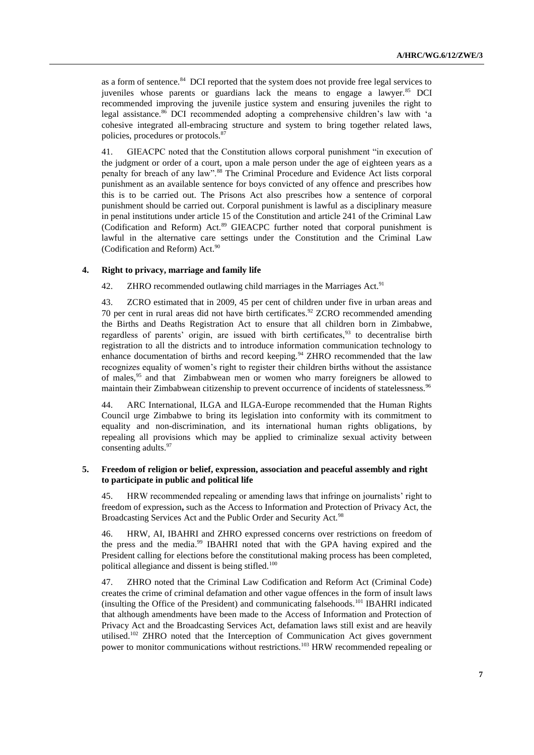as a form of sentence.<sup>84</sup> DCI reported that the system does not provide free legal services to juveniles whose parents or guardians lack the means to engage a lawyer.<sup>85</sup> DCI recommended improving the juvenile justice system and ensuring juveniles the right to legal assistance.<sup>86</sup> DCI recommended adopting a comprehensive children's law with 'a cohesive integrated all-embracing structure and system to bring together related laws, policies, procedures or protocols.<sup>87</sup>

41. GIEACPC noted that the Constitution allows corporal punishment "in execution of the judgment or order of a court, upon a male person under the age of eighteen years as a penalty for breach of any law".<sup>88</sup> The Criminal Procedure and Evidence Act lists corporal punishment as an available sentence for boys convicted of any offence and prescribes how this is to be carried out. The Prisons Act also prescribes how a sentence of corporal punishment should be carried out. Corporal punishment is lawful as a disciplinary measure in penal institutions under article 15 of the Constitution and article 241 of the Criminal Law (Codification and Reform) Act.<sup>89</sup> GIEACPC further noted that corporal punishment is lawful in the alternative care settings under the Constitution and the Criminal Law (Codification and Reform) Act. $90$ 

### **4. Right to privacy, marriage and family life**

42. ZHRO recommended outlawing child marriages in the Marriages Act.<sup>91</sup>

43. ZCRO estimated that in 2009, 45 per cent of children under five in urban areas and 70 per cent in rural areas did not have birth certificates. <sup>92</sup> ZCRO recommended amending the Births and Deaths Registration Act to ensure that all children born in Zimbabwe, regardless of parents' origin, are issued with birth certificates,  $93$  to decentralise birth registration to all the districts and to introduce information communication technology to enhance documentation of births and record keeping.<sup>94</sup> ZHRO recommended that the law recognizes equality of women"s right to register their children births without the assistance of males,<sup>95</sup> and that Zimbabwean men or women who marry foreigners be allowed to maintain their Zimbabwean citizenship to prevent occurrence of incidents of statelessness.<sup>96</sup>

44. ARC International, ILGA and ILGA-Europe recommended that the Human Rights Council urge Zimbabwe to bring its legislation into conformity with its commitment to equality and non-discrimination, and its international human rights obligations, by repealing all provisions which may be applied to criminalize sexual activity between consenting adults. 97

#### **5. Freedom of religion or belief, expression, association and peaceful assembly and right to participate in public and political life**

45. HRW recommended repealing or amending laws that infringe on journalists" right to freedom of expression**,** such as the Access to Information and Protection of Privacy Act, the Broadcasting Services Act and the Public Order and Security Act.<sup>98</sup>

46. HRW, AI, IBAHRI and ZHRO expressed concerns over restrictions on freedom of the press and the media. <sup>99</sup> IBAHRI noted that with the GPA having expired and the President calling for elections before the constitutional making process has been completed, political allegiance and dissent is being stifled.<sup>100</sup>

47. ZHRO noted that the Criminal Law Codification and Reform Act (Criminal Code) creates the crime of criminal defamation and other vague offences in the form of insult laws (insulting the Office of the President) and communicating falsehoods.<sup>101</sup> IBAHRI indicated that although amendments have been made to the Access of Information and Protection of Privacy Act and the Broadcasting Services Act, defamation laws still exist and are heavily utilised.<sup>102</sup> ZHRO noted that the Interception of Communication Act gives government power to monitor communications without restrictions.<sup>103</sup> HRW recommended repealing or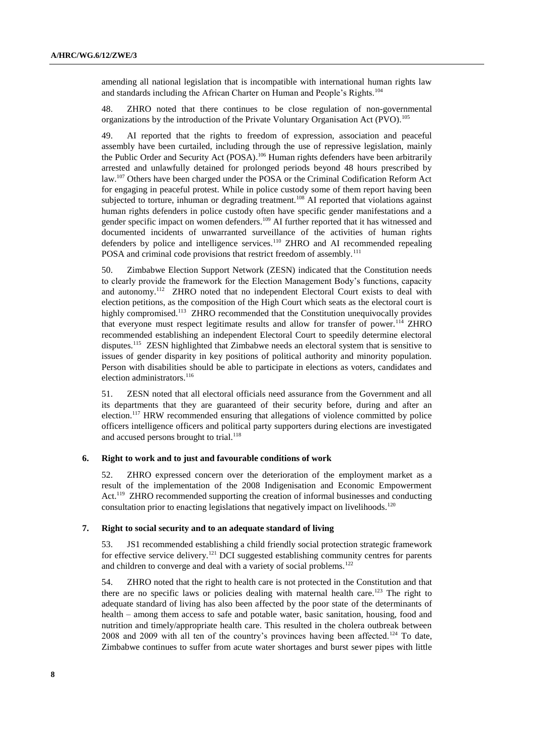amending all national legislation that is incompatible with international human rights law and standards including the African Charter on Human and People's Rights.<sup>104</sup>

48. ZHRO noted that there continues to be close regulation of non-governmental organizations by the introduction of the Private Voluntary Organisation Act (PVO).<sup>105</sup>

49. AI reported that the rights to freedom of expression, association and peaceful assembly have been curtailed, including through the use of repressive legislation, mainly the Public Order and Security Act (POSA).<sup>106</sup> Human rights defenders have been arbitrarily arrested and unlawfully detained for prolonged periods beyond 48 hours prescribed by law.<sup>107</sup> Others have been charged under the POSA or the Criminal Codification Reform Act for engaging in peaceful protest. While in police custody some of them report having been subjected to torture, inhuman or degrading treatment.<sup>108</sup> AI reported that violations against human rights defenders in police custody often have specific gender manifestations and a gender specific impact on women defenders.<sup>109</sup> AI further reported that it has witnessed and documented incidents of unwarranted surveillance of the activities of human rights defenders by police and intelligence services.<sup>110</sup> ZHRO and AI recommended repealing POSA and criminal code provisions that restrict freedom of assembly.<sup>111</sup>

50. Zimbabwe Election Support Network (ZESN) indicated that the Constitution needs to clearly provide the framework for the Election Management Body"s functions, capacity and autonomy.<sup>112</sup> ZHRO noted that no independent Electoral Court exists to deal with election petitions, as the composition of the High Court which seats as the electoral court is highly compromised.<sup>113</sup> ZHRO recommended that the Constitution unequivocally provides that everyone must respect legitimate results and allow for transfer of power.<sup>114</sup> ZHRO recommended establishing an independent Electoral Court to speedily determine electoral disputes.<sup>115</sup> ZESN highlighted that Zimbabwe needs an electoral system that is sensitive to issues of gender disparity in key positions of political authority and minority population. Person with disabilities should be able to participate in elections as voters, candidates and election administrators.<sup>116</sup>

51. ZESN noted that all electoral officials need assurance from the Government and all its departments that they are guaranteed of their security before, during and after an election.<sup>117</sup> HRW recommended ensuring that allegations of violence committed by police officers intelligence officers and political party supporters during elections are investigated and accused persons brought to trial.<sup>118</sup>

#### **6. Right to work and to just and favourable conditions of work**

52. ZHRO expressed concern over the deterioration of the employment market as a result of the implementation of the 2008 Indigenisation and Economic Empowerment Act.<sup>119</sup> ZHRO recommended supporting the creation of informal businesses and conducting consultation prior to enacting legislations that negatively impact on livelihoods.<sup>120</sup>

#### **7. Right to social security and to an adequate standard of living**

53. JS1 recommended establishing a child friendly social protection strategic framework for effective service delivery.<sup>121</sup> DCI suggested establishing community centres for parents and children to converge and deal with a variety of social problems.<sup>122</sup>

54. ZHRO noted that the right to health care is not protected in the Constitution and that there are no specific laws or policies dealing with maternal health care.<sup>123</sup> The right to adequate standard of living has also been affected by the poor state of the determinants of health – among them access to safe and potable water, basic sanitation, housing, food and nutrition and timely/appropriate health care. This resulted in the cholera outbreak between 2008 and 2009 with all ten of the country's provinces having been affected.<sup>124</sup> To date, Zimbabwe continues to suffer from acute water shortages and burst sewer pipes with little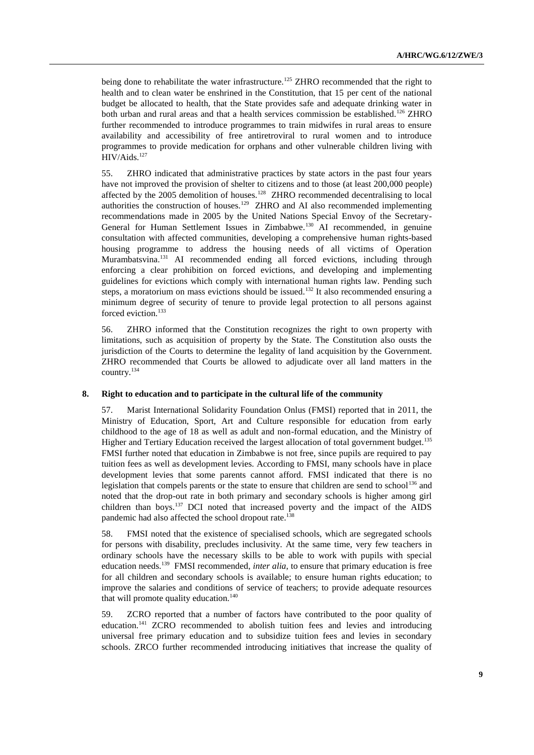being done to rehabilitate the water infrastructure.<sup>125</sup> ZHRO recommended that the right to health and to clean water be enshrined in the Constitution, that 15 per cent of the national budget be allocated to health, that the State provides safe and adequate drinking water in both urban and rural areas and that a health services commission be established.<sup>126</sup> ZHRO further recommended to introduce programmes to train midwifes in rural areas to ensure availability and accessibility of free antiretroviral to rural women and to introduce programmes to provide medication for orphans and other vulnerable children living with HIV/Aids.<sup>127</sup>

55. ZHRO indicated that administrative practices by state actors in the past four years have not improved the provision of shelter to citizens and to those (at least 200,000 people) affected by the 2005 demolition of houses.<sup>128</sup> ZHRO recommended decentralising to local authorities the construction of houses.<sup>129</sup> ZHRO and AI also recommended implementing recommendations made in 2005 by the United Nations Special Envoy of the Secretary-General for Human Settlement Issues in Zimbabwe.<sup>130</sup> AI recommended, in genuine consultation with affected communities, developing a comprehensive human rights-based housing programme to address the housing needs of all victims of Operation Murambatsvina.<sup>131</sup> AI recommended ending all forced evictions, including through enforcing a clear prohibition on forced evictions, and developing and implementing guidelines for evictions which comply with international human rights law. Pending such steps, a moratorium on mass evictions should be issued.<sup>132</sup> It also recommended ensuring a minimum degree of security of tenure to provide legal protection to all persons against forced eviction.<sup>133</sup>

56. ZHRO informed that the Constitution recognizes the right to own property with limitations, such as acquisition of property by the State. The Constitution also ousts the jurisdiction of the Courts to determine the legality of land acquisition by the Government. ZHRO recommended that Courts be allowed to adjudicate over all land matters in the country.<sup>134</sup>

#### **8. Right to education and to participate in the cultural life of the community**

57. Marist International Solidarity Foundation Onlus (FMSI) reported that in 2011, the Ministry of Education, Sport, Art and Culture responsible for education from early childhood to the age of 18 as well as adult and non-formal education, and the Ministry of Higher and Tertiary Education received the largest allocation of total government budget.<sup>135</sup> FMSI further noted that education in Zimbabwe is not free, since pupils are required to pay tuition fees as well as development levies. According to FMSI, many schools have in place development levies that some parents cannot afford. FMSI indicated that there is no legislation that compels parents or the state to ensure that children are send to school<sup>136</sup> and noted that the drop-out rate in both primary and secondary schools is higher among girl children than boys.<sup>137</sup> DCI noted that increased poverty and the impact of the AIDS pandemic had also affected the school dropout rate.<sup>138</sup>

58. FMSI noted that the existence of specialised schools, which are segregated schools for persons with disability, precludes inclusivity. At the same time, very few teachers in ordinary schools have the necessary skills to be able to work with pupils with special education needs.<sup>139</sup> FMSI recommended, *inter alia*, to ensure that primary education is free for all children and secondary schools is available; to ensure human rights education; to improve the salaries and conditions of service of teachers; to provide adequate resources that will promote quality education.<sup>140</sup>

59. ZCRO reported that a number of factors have contributed to the poor quality of education.<sup>141</sup> ZCRO recommended to abolish tuition fees and levies and introducing universal free primary education and to subsidize tuition fees and levies in secondary schools. ZRCO further recommended introducing initiatives that increase the quality of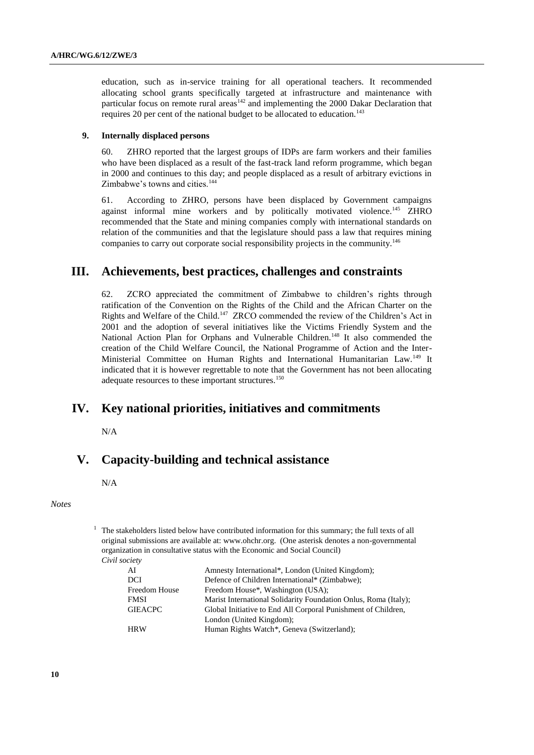education, such as in-service training for all operational teachers. It recommended allocating school grants specifically targeted at infrastructure and maintenance with particular focus on remote rural areas $142$  and implementing the 2000 Dakar Declaration that requires 20 per cent of the national budget to be allocated to education.<sup>143</sup>

#### **9. Internally displaced persons**

60. ZHRO reported that the largest groups of IDPs are farm workers and their families who have been displaced as a result of the fast-track land reform programme, which began in 2000 and continues to this day; and people displaced as a result of arbitrary evictions in Zimbabwe's towns and cities.<sup>144</sup>

61. According to ZHRO, persons have been displaced by Government campaigns against informal mine workers and by politically motivated violence.<sup>145</sup> ZHRO recommended that the State and mining companies comply with international standards on relation of the communities and that the legislature should pass a law that requires mining companies to carry out corporate social responsibility projects in the community.<sup>146</sup>

## **III. Achievements, best practices, challenges and constraints**

62. ZCRO appreciated the commitment of Zimbabwe to children"s rights through ratification of the Convention on the Rights of the Child and the African Charter on the Rights and Welfare of the Child.<sup>147</sup> ZRCO commended the review of the Children's Act in 2001 and the adoption of several initiatives like the Victims Friendly System and the National Action Plan for Orphans and Vulnerable Children.<sup>148</sup> It also commended the creation of the Child Welfare Council, the National Programme of Action and the Inter-Ministerial Committee on Human Rights and International Humanitarian Law.<sup>149</sup> It indicated that it is however regrettable to note that the Government has not been allocating adequate resources to these important structures.<sup>150</sup>

## **IV. Key national priorities, initiatives and commitments**

N/A

# **V. Capacity-building and technical assistance**

N/A

*Notes*

 $1$  The stakeholders listed below have contributed information for this summary; the full texts of all original submissions are available at: [www.ohchr.org.](http://www.ohchr.org/) (One asterisk denotes a non-governmental organization in consultative status with the Economic and Social Council) *Civil society* 

| AI                   | Amnesty International*, London (United Kingdom);                |
|----------------------|-----------------------------------------------------------------|
| DCI                  | Defence of Children International* (Zimbabwe);                  |
| <b>Freedom House</b> | Freedom House*, Washington (USA);                               |
| <b>FMSI</b>          | Marist International Solidarity Foundation Onlus, Roma (Italy); |
| <b>GIEACPC</b>       | Global Initiative to End All Corporal Punishment of Children,   |
|                      | London (United Kingdom);                                        |
| <b>HRW</b>           | Human Rights Watch*, Geneva (Switzerland);                      |
|                      |                                                                 |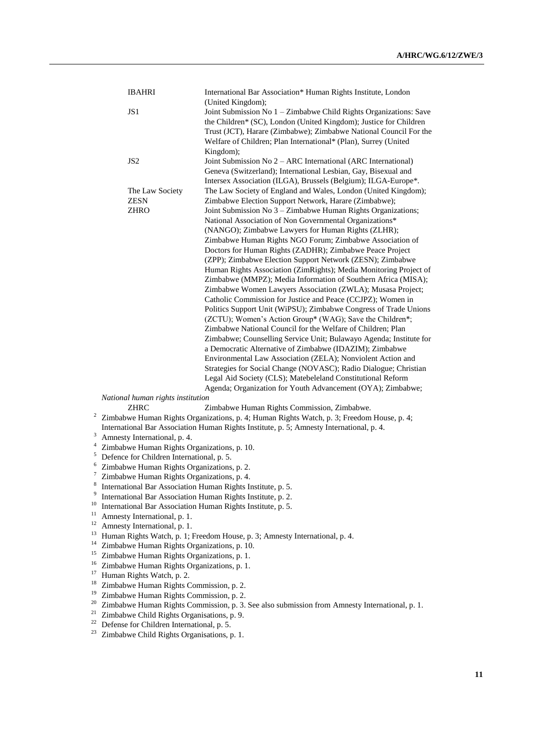|          | <b>IBAHRI</b>                                                                                                                            | International Bar Association* Human Rights Institute, London<br>(United Kingdom);                                                           |  |
|----------|------------------------------------------------------------------------------------------------------------------------------------------|----------------------------------------------------------------------------------------------------------------------------------------------|--|
|          | JS1                                                                                                                                      | Joint Submission No 1 - Zimbabwe Child Rights Organizations: Save<br>the Children* (SC), London (United Kingdom); Justice for Children       |  |
|          |                                                                                                                                          | Trust (JCT), Harare (Zimbabwe); Zimbabwe National Council For the<br>Welfare of Children; Plan International* (Plan), Surrey (United         |  |
|          | JS <sub>2</sub>                                                                                                                          | Kingdom);<br>Joint Submission No 2 - ARC International (ARC International)                                                                   |  |
|          |                                                                                                                                          | Geneva (Switzerland); International Lesbian, Gay, Bisexual and<br>Intersex Association (ILGA), Brussels (Belgium); ILGA-Europe*.             |  |
|          | The Law Society                                                                                                                          | The Law Society of England and Wales, London (United Kingdom);                                                                               |  |
|          | <b>ZESN</b>                                                                                                                              | Zimbabwe Election Support Network, Harare (Zimbabwe);                                                                                        |  |
|          | <b>ZHRO</b>                                                                                                                              | Joint Submission No 3 – Zimbabwe Human Rights Organizations;<br>National Association of Non Governmental Organizations*                      |  |
|          |                                                                                                                                          | (NANGO); Zimbabwe Lawyers for Human Rights (ZLHR);                                                                                           |  |
|          |                                                                                                                                          | Zimbabwe Human Rights NGO Forum; Zimbabwe Association of                                                                                     |  |
|          |                                                                                                                                          | Doctors for Human Rights (ZADHR); Zimbabwe Peace Project                                                                                     |  |
|          |                                                                                                                                          | (ZPP); Zimbabwe Election Support Network (ZESN); Zimbabwe<br>Human Rights Association (ZimRights); Media Monitoring Project of               |  |
|          |                                                                                                                                          | Zimbabwe (MMPZ); Media Information of Southern Africa (MISA);                                                                                |  |
|          |                                                                                                                                          | Zimbabwe Women Lawyers Association (ZWLA); Musasa Project;                                                                                   |  |
|          |                                                                                                                                          | Catholic Commission for Justice and Peace (CCJPZ); Women in                                                                                  |  |
|          |                                                                                                                                          | Politics Support Unit (WiPSU); Zimbabwe Congress of Trade Unions<br>(ZCTU); Women's Action Group* (WAG); Save the Children*;                 |  |
|          |                                                                                                                                          | Zimbabwe National Council for the Welfare of Children; Plan                                                                                  |  |
|          |                                                                                                                                          | Zimbabwe; Counselling Service Unit; Bulawayo Agenda; Institute for                                                                           |  |
|          |                                                                                                                                          | a Democratic Alternative of Zimbabwe (IDAZIM); Zimbabwe                                                                                      |  |
|          |                                                                                                                                          | Environmental Law Association (ZELA); Nonviolent Action and<br>Strategies for Social Change (NOVASC); Radio Dialogue; Christian              |  |
|          |                                                                                                                                          | Legal Aid Society (CLS); Matebeleland Constitutional Reform                                                                                  |  |
|          |                                                                                                                                          | Agenda; Organization for Youth Advancement (OYA); Zimbabwe;                                                                                  |  |
|          | National human rights institution<br><b>ZHRC</b>                                                                                         |                                                                                                                                              |  |
|          |                                                                                                                                          | Zimbabwe Human Rights Commission, Zimbabwe.<br>$2$ Zimbabwe Human Rights Organizations, p. 4; Human Rights Watch, p. 3; Freedom House, p. 4; |  |
|          |                                                                                                                                          | International Bar Association Human Rights Institute, p. 5; Amnesty International, p. 4.                                                     |  |
| 3        | Amnesty International, p. 4.                                                                                                             |                                                                                                                                              |  |
| 5        | Zimbabwe Human Rights Organizations, p. 10.<br>Defence for Children International, p. 5.                                                 |                                                                                                                                              |  |
| 6        | Zimbabwe Human Rights Organizations, p. 2.                                                                                               |                                                                                                                                              |  |
|          | Zimbabwe Human Rights Organizations, p. 4.                                                                                               |                                                                                                                                              |  |
| 8<br>9   | International Bar Association Human Rights Institute, p. 5                                                                               |                                                                                                                                              |  |
| 10       | International Bar Association Human Rights Institute, p. 2.<br>International Bar Association Human Rights Institute, p. 5.               |                                                                                                                                              |  |
| 11       | Amnesty International, p. 1.                                                                                                             |                                                                                                                                              |  |
| 12       | Amnesty International, p. 1.                                                                                                             |                                                                                                                                              |  |
| 13<br>14 | Human Rights Watch, p. 1; Freedom House, p. 3; Amnesty International, p. 4.                                                              |                                                                                                                                              |  |
| 15       | Zimbabwe Human Rights Organizations, p. 10.<br>Zimbabwe Human Rights Organizations, p. 1.                                                |                                                                                                                                              |  |
| 16       | Zimbabwe Human Rights Organizations, p. 1.                                                                                               |                                                                                                                                              |  |
| 17       | Human Rights Watch, p. 2.                                                                                                                |                                                                                                                                              |  |
| 18<br>19 | Zimbabwe Human Rights Commission, p. 2.                                                                                                  |                                                                                                                                              |  |
| 20       | Zimbabwe Human Rights Commission, p. 2.<br>Zimbabwe Human Rights Commission, p. 3. See also submission from Amnesty International, p. 1. |                                                                                                                                              |  |
| 21       | Zimbabwe Child Rights Organisations, p. 9.                                                                                               |                                                                                                                                              |  |
| 22       | Defense for Children International, p. 5.                                                                                                |                                                                                                                                              |  |
| 23       | Zimbabwe Child Rights Organisations, p. 1.                                                                                               |                                                                                                                                              |  |
|          |                                                                                                                                          |                                                                                                                                              |  |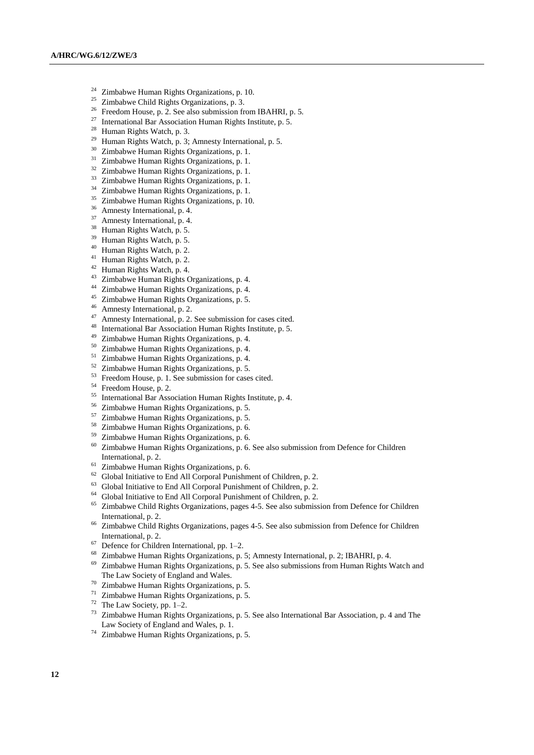- <sup>24</sup> Zimbabwe Human Rights Organizations, p. 10.<br><sup>25</sup> Zimbabwe Child Bights Organizations, p. <sup>2</sup>
- <sup>25</sup> Zimbabwe Child Rights Organizations, p. 3.<br><sup>26</sup> Freedom House, p. 2. See also submission fr
- <sup>26</sup> Freedom House, p. 2. See also submission from IBAHRI, p. 5.<br><sup>27</sup> International Par Association Hyman Bights Institute p. 5.
- <sup>27</sup> International Bar Association Human Rights Institute, p. 5.<br><sup>28</sup> Ibunan Rights Watch a 2
- <sup>28</sup> Human Rights Watch, p. 3.<br><sup>29</sup> Human Rights Watch, p. 3.
- <sup>29</sup> Human Rights Watch, p. 3; Amnesty International, p. 5.<br><sup>30</sup> Zimbabwe Human Rights Organizations, p. 1.
- $\frac{30}{1}$  Zimbabwe Human Rights Organizations, p. 1.
- Zimbabwe Human Rights Organizations, p. 1.
- <sup>32</sup> Zimbabwe Human Rights Organizations, p. 1.
- <sup>33</sup> Zimbabwe Human Rights Organizations, p. 1.
- <sup>34</sup> Zimbabwe Human Rights Organizations, p. 1.
- <sup>35</sup> Zimbabwe Human Rights Organizations, p. 10.
- <sup>36</sup> Amnesty International, p. 4.
- <sup>37</sup> Amnesty International, p. 4.
- <sup>38</sup> Human Rights Watch, p. 5.
- <sup>39</sup> Human Rights Watch, p. 5.
- <sup>40</sup> Human Rights Watch, p. 2.
- <sup>41</sup> Human Rights Watch, p. 2.
- <sup>42</sup> Human Rights Watch, p. 4.
- <sup>43</sup> Zimbabwe Human Rights Organizations, p. 4.
- <sup>44</sup> Zimbabwe Human Rights Organizations, p. 4.
- <sup>45</sup> Zimbabwe Human Rights Organizations, p. 5.
- <sup>46</sup> Amnesty International, p. 2.<br><sup>47</sup> Amnesty International, p. 2.
- Amnesty International, p. 2. See submission for cases cited.
- <sup>48</sup> International Bar Association Human Rights Institute, p. 5.
- <sup>49</sup> Zimbabwe Human Rights Organizations, p. 4.<br><sup>50</sup> Zimbabwe Human Rights Organizations, p. 4.
- <sup>50</sup> Zimbabwe Human Rights Organizations, p. 4.<br><sup>51</sup> Zimbabwe Human Rights Organizations, p. 4.
- <sup>51</sup> Zimbabwe Human Rights Organizations, p. 4.<br><sup>52</sup> Zimbabwe Human Bights Organizations, p. 5.
- $\frac{52}{2}$  Zimbabwe Human Rights Organizations, p. 5.
- <sup>53</sup> Freedom House, p. 1. See submission for cases cited.<br><sup>54</sup> Freedom House, p. 2.
- Freedom House, p. 2.
- <sup>55</sup> International Bar Association Human Rights Institute, p. 4.<br> $\frac{56}{2}$  Zimbohuma Human Rights Operations a 5
- <sup>56</sup> Zimbabwe Human Rights Organizations, p. 5.
- <sup>57</sup> Zimbabwe Human Rights Organizations, p. 5.
- <sup>58</sup> Zimbabwe Human Rights Organizations, p. 6.
- <sup>59</sup> Zimbabwe Human Rights Organizations, p. 6.
- <sup>60</sup> Zimbabwe Human Rights Organizations, p. 6. See also submission from Defence for Children International, p. 2.
- <sup>61</sup> Zimbabwe Human Rights Organizations, p. 6.
- <sup>62</sup> Global Initiative to End All Corporal Punishment of Children, p. 2.
- <sup>63</sup> Global Initiative to End All Corporal Punishment of Children, p. 2.
- <sup>64</sup> Global Initiative to End All Corporal Punishment of Children, p. 2.<br><sup>65</sup> Zimbohus Child Bishts Opponizations, pages 4.5. See also submiss
- <sup>65</sup> Zimbabwe Child Rights Organizations, pages 4-5. See also submission from Defence for Children International, p. 2.
- <sup>66</sup> Zimbabwe Child Rights Organizations, pages 4-5. See also submission from Defence for Children International, p. 2.
- $67$  Defence for Children International, pp. 1–2.
- <sup>68</sup> Zimbabwe Human Rights Organizations, p. 5; Amnesty International, p. 2; IBAHRI, p. 4.<br><sup>69</sup> Zimbabwe Human Rights Organizations, p. 5. See also submissions from Human Rights W
- <sup>69</sup> Zimbabwe Human Rights Organizations, p. 5. See also submissions from Human Rights Watch and The Law Society of England and Wales.
- <sup>70</sup> Zimbabwe Human Rights Organizations, p. 5.<br> $\frac{71}{2}$  Zimbabwe Human Rights Organizations, p. 5.
- <sup>71</sup> Zimbabwe Human Rights Organizations, p. 5.<br><sup>72</sup> The Law Society, pp.  $1-2$
- $72$  The Law Society, pp. 1–2.<br> $73$  Zimbabye Usymon Diabta 6
- <sup>73</sup> Zimbabwe Human Rights Organizations, p. 5. See also International Bar Association, p. 4 and The Law Society of England and Wales, p. 1.
- <sup>74</sup> Zimbabwe Human Rights Organizations, p. 5.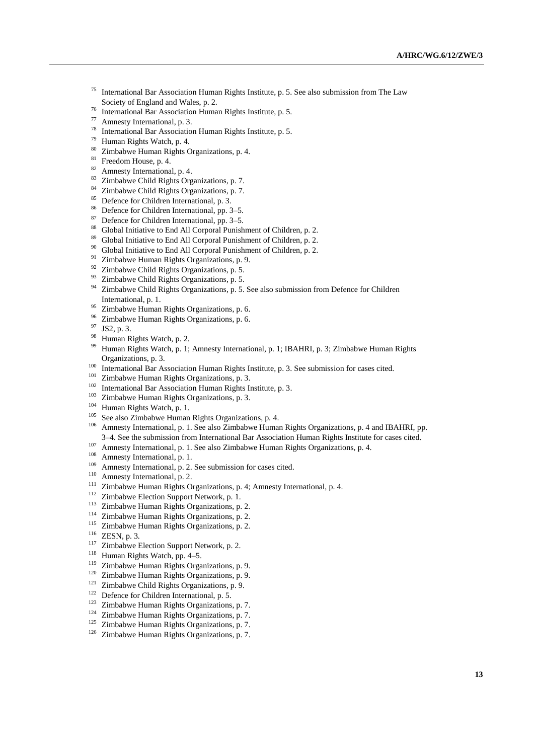- International Bar Association Human Rights Institute, p. 5. See also submission from The Law Society of England and Wales, p. 2.
- <sup>76</sup> International Bar Association Human Rights Institute, p. 5.
- $^{77}$  Amnesty International, p. 3.
- <sup>78</sup> International Bar Association Human Rights Institute, p. 5.<br> $^{79}$  Iluman Rights Watch n  $^{4}$
- <sup>79</sup> Human Rights Watch, p. 4.<br><sup>80</sup> Zimbohwa Human Rights C
- <sup>80</sup> Zimbabwe Human Rights Organizations, p. 4.<br><sup>81</sup> Executors Hause at  $4$
- $rac{81}{82}$  Freedom House, p. 4.
- Amnesty International, p. 4.
- <sup>83</sup> Zimbabwe Child Rights Organizations, p. 7.<br><sup>84</sup> Zimbabwe Child Biabte Organizations, p. 7.
- Zimbabwe Child Rights Organizations, p. 7.
- <sup>85</sup> Defence for Children International, p. 3.
- <sup>86</sup> Defence for Children International, pp. 3–5.
- $87$  Defence for Children International, pp. 3–5.<br> $88$  Clobal Initiative to End. All Company Dunish
- Global Initiative to End All Corporal Punishment of Children, p. 2.
- <sup>89</sup> Global Initiative to End All Corporal Punishment of Children, p. 2.
- <sup>90</sup> Global Initiative to End All Corporal Punishment of Children, p. 2.<br><sup>91</sup> Zimbohus Uuman Richts Organizations n. 0.
- Zimbabwe Human Rights Organizations, p. 9.
- $92$  Zimbabwe Child Rights Organizations, p. 5.
- <sup>93</sup> Zimbabwe Child Rights Organizations, p. 5.<br><sup>94</sup> Zimbabwe Child Rights Organizations, p. 5.
- Zimbabwe Child Rights Organizations, p. 5. See also submission from Defence for Children International, p. 1.
- <sup>95</sup> Zimbabwe Human Rights Organizations, p. 6.<br><sup>96</sup> Zimbabwe Human Rights Organizations, p. 6.
- <sup>96</sup> Zimbabwe Human Rights Organizations, p. 6.<br><sup>97</sup> IS2 a <sup>2</sup>
- $^{97}$  JS2, p. 3.<br><sup>98</sup> Human B
- $^{98}$  Human Rights Watch, p. 2.
- Human Rights Watch, p. 1; Amnesty International, p. 1; IBAHRI, p. 3; Zimbabwe Human Rights Organizations, p. 3.
- <sup>100</sup> International Bar Association Human Rights Institute, p. 3. See submission for cases cited.<br><sup>101</sup>  $\frac{7!}{2}$  in the Universe Rights Occanizations p. <sup>2</sup>
- <sup>101</sup> Zimbabwe Human Rights Organizations, p. 3.<br><sup>102</sup> International Ban Association Human Bights I.
- <sup>102</sup> International Bar Association Human Rights Institute, p. 3.<br><sup>103</sup> Zimbalang Human Rights Oppositedians p. 2.
- <sup>103</sup> Zimbabwe Human Rights Organizations, p. 3.<br><sup>104</sup> Human Bights Watsh **p.** 1
- $^{104}$  Human Rights Watch, p. 1.
- <sup>105</sup> See also Zimbabwe Human Rights Organizations, p. 4.<br><sup>106</sup> Amnasty International, p. 1. See also Zimbabwe Human
- <sup>106</sup> Amnesty International, p. 1. See also Zimbabwe Human Rights Organizations, p. 4 and IBAHRI, pp. 3–4. See the submission from International Bar Association Human Rights Institute for cases cited.
- <sup>107</sup> Amnesty International, p. 1. See also Zimbabwe Human Rights Organizations, p. 4.
- <sup>108</sup> Amnesty International, p. 1.
- <sup>109</sup> Amnesty International, p. 2. See submission for cases cited.
- <sup>110</sup> Amnesty International, p. 2.
- <sup>111</sup> Zimbabwe Human Rights Organizations, p. 4; Amnesty International, p. 4.
- <sup>112</sup> Zimbabwe Election Support Network, p. 1.
- <sup>113</sup> Zimbabwe Human Rights Organizations, p. 2.
- <sup>114</sup> Zimbabwe Human Rights Organizations, p. 2.<br><sup>115</sup> Zimbabwe Human Rights Organizations, p. 2.
- Zimbabwe Human Rights Organizations, p. 2.
- $\frac{116}{117}$  ZESN, p. 3.
- <sup>117</sup> Zimbabwe Election Support Network, p. 2.<br><sup>118</sup> Human Pichts Watch, pp. 4–5.
- <sup>118</sup> Human Rights Watch, pp. 4–5.<br><sup>119</sup> Zimbohwa Human Bights Orga
- <sup>119</sup> Zimbabwe Human Rights Organizations, p. 9.<br><sup>120</sup> Zimbabwe Human Rights Organizations, p. 9.
- <sup>120</sup> Zimbabwe Human Rights Organizations, p. 9.<br><sup>121</sup> Zimbabwe Child Bichts Organizations, p. 9.
- <sup>121</sup> Zimbabwe Child Rights Organizations, p. 9.<br><sup>122</sup> Defence for Children International p. 5.
- <sup>122</sup> Defence for Children International, p. 5.<br><sup>123</sup> Zimbohue Human Bights Organizations
- <sup>123</sup> Zimbabwe Human Rights Organizations, p. 7.<br><sup>124</sup> Zimbabwe Human Birkts Organizations, p. 7.
- <sup>124</sup> Zimbabwe Human Rights Organizations, p. 7.<br><sup>125</sup> Zimbabwe Human Rights Organizations, p. 7.
- <sup>125</sup> Zimbabwe Human Rights Organizations, p. 7.<br><sup>126</sup> Zimbabwe Human Rights Organizations, p. 7.
- Zimbabwe Human Rights Organizations, p. 7.